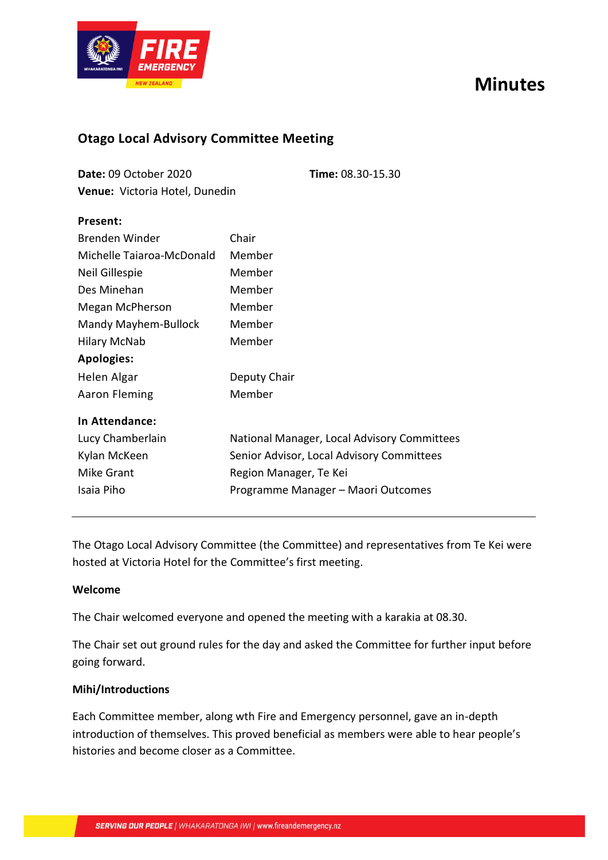# **Minutes**



### **Otago Local Advisory Committee Meeting**

| Date: 09 October 2020                 | Time: 08.30-15.30 |
|---------------------------------------|-------------------|
| <b>Venue:</b> Victoria Hotel, Dunedin |                   |

| Present:                  |                                             |  |
|---------------------------|---------------------------------------------|--|
| Brenden Winder            | Chair                                       |  |
| Michelle Taiaroa-McDonald | Member                                      |  |
| Neil Gillespie            | Member                                      |  |
| Des Minehan               | Member                                      |  |
| Megan McPherson           | Member                                      |  |
| Mandy Mayhem-Bullock      | Member                                      |  |
| <b>Hilary McNab</b>       | Member                                      |  |
| <b>Apologies:</b>         |                                             |  |
| Helen Algar               | Deputy Chair                                |  |
| <b>Aaron Fleming</b>      | Member                                      |  |
| In Attendance:            |                                             |  |
| Lucy Chamberlain          | National Manager, Local Advisory Committees |  |
| Kylan McKeen              | Senior Advisor, Local Advisory Committees   |  |
| <b>Mike Grant</b>         | Region Manager, Te Kei                      |  |
| Isaia Piho                | Programme Manager - Maori Outcomes          |  |
|                           |                                             |  |

The Otago Local Advisory Committee (the Committee) and representatives from Te Kei were hosted at Victoria Hotel for the Committee's first meeting.

#### **Welcome**

The Chair welcomed everyone and opened the meeting with a karakia at 08.30.

The Chair set out ground rules for the day and asked the Committee for further input before going forward.

#### **Mihi/Introductions**

Each Committee member, along wth Fire and Emergency personnel, gave an in-depth introduction of themselves. This proved beneficial as members were able to hear people's histories and become closer as a Committee.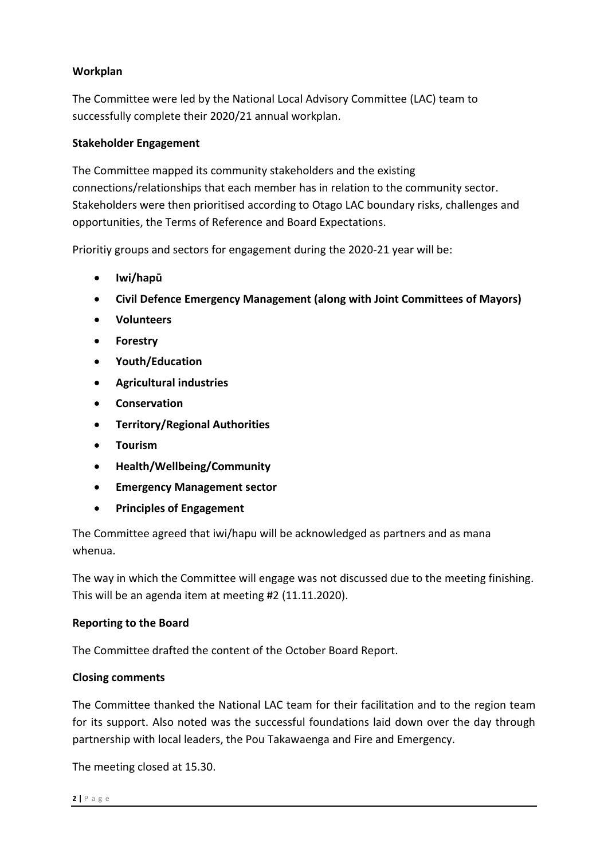#### **Workplan**

The Committee were led by the National Local Advisory Committee (LAC) team to successfully complete their 2020/21 annual workplan.

#### **Stakeholder Engagement**

The Committee mapped its community stakeholders and the existing connections/relationships that each member has in relation to the community sector. Stakeholders were then prioritised according to Otago LAC boundary risks, challenges and opportunities, the Terms of Reference and Board Expectations.

Prioritiy groups and sectors for engagement during the 2020-21 year will be:

- **Iwi/hapū**
- **Civil Defence Emergency Management (along with Joint Committees of Mayors)**
- **Volunteers**
- **Forestry**
- **Youth/Education**
- **Agricultural industries**
- **Conservation**
- **Territory/Regional Authorities**
- **Tourism**
- **Health/Wellbeing/Community**
- **Emergency Management sector**
- **Principles of Engagement**

The Committee agreed that iwi/hapu will be acknowledged as partners and as mana whenua.

The way in which the Committee will engage was not discussed due to the meeting finishing. This will be an agenda item at meeting #2 (11.11.2020).

#### **Reporting to the Board**

The Committee drafted the content of the October Board Report.

#### **Closing comments**

The Committee thanked the National LAC team for their facilitation and to the region team for its support. Also noted was the successful foundations laid down over the day through partnership with local leaders, the Pou Takawaenga and Fire and Emergency.

The meeting closed at 15.30.